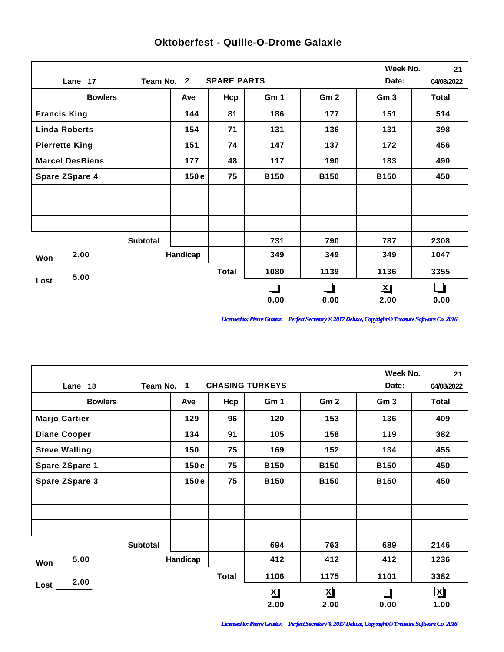|                        |          |                    |             |                 | Week No.        | 21           |
|------------------------|----------|--------------------|-------------|-----------------|-----------------|--------------|
| Team No. 2<br>Lane 17  |          | <b>SPARE PARTS</b> |             |                 | Date:           | 04/08/2022   |
| <b>Bowlers</b>         | Ave      | Hcp                | Gm 1        | Gm <sub>2</sub> | Gm <sub>3</sub> | <b>Total</b> |
| <b>Francis King</b>    | 144      | 81                 | 186         | 177             | 151             | 514          |
| <b>Linda Roberts</b>   | 154      | 71                 | 131         | 136             | 131             | 398          |
| <b>Pierrette King</b>  | 151      | 74                 | 147         | 137             | 172             | 456          |
| <b>Marcel DesBiens</b> | 177      | 48                 | 117         | 190             | 183             | 490          |
| <b>Spare ZSpare 4</b>  | 150e     | 75                 | <b>B150</b> | <b>B150</b>     | <b>B150</b>     | 450          |
|                        |          |                    |             |                 |                 |              |
|                        |          |                    |             |                 |                 |              |
|                        |          |                    |             |                 |                 |              |
| <b>Subtotal</b>        |          |                    | 731         | 790             | 787             | 2308         |
| 2.00<br>Won            | Handicap |                    | 349         | 349             | 349             | 1047         |
| 5.00                   |          | <b>Total</b>       | 1080        | 1139            | 1136            | 3355         |
| Lost                   |          |                    |             |                 | $\mathbf{X}$    |              |
|                        |          |                    | 0.00        | 0.00            | 2.00            | 0.00         |

 $-$ 

 $\overline{a}$ 

 $=$   $=$ 

 $\overline{a}$ 

 $\overline{a}$ 

 $\overline{a}$ 

 $\overline{a}$ 

 $\overline{a}$ 

## **Oktoberfest - Quille-O-Drome Galaxie**

*Licensed to: Pierre Gratton Perfect Secretary ® 2017 Deluxe, Copyright © Treasure Software Co. 2016* \_ \_\_ \_\_ \_\_ \_\_ \_\_ \_\_ \_\_ \_\_ \_\_ \_\_ \_\_

 $\overline{a}$   $\overline{a}$ 

|                       |            |              |                        |                 | Week No.        | 21           |
|-----------------------|------------|--------------|------------------------|-----------------|-----------------|--------------|
| Lane 18               | Team No. 1 |              | <b>CHASING TURKEYS</b> |                 | Date:           | 04/08/2022   |
| <b>Bowlers</b>        | Ave        | Hcp          | Gm 1                   | Gm <sub>2</sub> | Gm <sub>3</sub> | <b>Total</b> |
| <b>Marjo Cartier</b>  | 129        | 96           | 120                    | 153             | 136             | 409          |
| <b>Diane Cooper</b>   | 134        | 91           | 105                    | 158             | 119             | 382          |
| <b>Steve Walling</b>  | 150        | 75           | 169                    | 152             | 134             | 455          |
| <b>Spare ZSpare 1</b> | 150e       | 75           | <b>B150</b>            | <b>B150</b>     | <b>B150</b>     | 450          |
| <b>Spare ZSpare 3</b> | 150e       | 75           | <b>B150</b>            | <b>B150</b>     | <b>B150</b>     | 450          |
|                       |            |              |                        |                 |                 |              |
|                       |            |              |                        |                 |                 |              |
|                       |            |              |                        |                 |                 |              |
| <b>Subtotal</b>       |            |              | 694                    | 763             | 689             | 2146         |
| 5.00<br>Won           | Handicap   |              | 412                    | 412             | 412             | 1236         |
| 2.00                  |            | <b>Total</b> | 1106                   | 1175            | 1101            | 3382         |
| Lost                  |            |              | $\mathbf{X}$           | $\mathbf{X}$    |                 | $\mathbf{X}$ |
|                       |            |              | 2.00                   | 2.00            | 0.00            | 1.00         |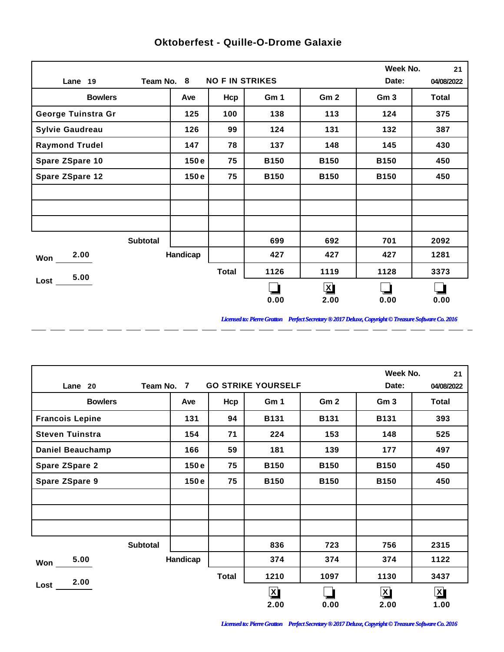|                        |                 |          |                        |             |                 | Week No.        | 21           |
|------------------------|-----------------|----------|------------------------|-------------|-----------------|-----------------|--------------|
| Lane 19                | Team No. 8      |          | <b>NO F IN STRIKES</b> |             |                 | Date:           | 04/08/2022   |
| <b>Bowlers</b>         |                 | Ave      | Hcp                    | Gm 1        | Gm <sub>2</sub> | Gm <sub>3</sub> | <b>Total</b> |
| George Tuinstra Gr     |                 | 125      | 100                    | 138         | 113             | 124             | 375          |
| <b>Sylvie Gaudreau</b> |                 | 126      | 99                     | 124         | 131             | 132             | 387          |
| <b>Raymond Trudel</b>  |                 | 147      | 78                     | 137         | 148             | 145             | 430          |
| Spare ZSpare 10        |                 | 150e     | 75                     | <b>B150</b> | <b>B150</b>     | <b>B150</b>     | 450          |
| <b>Spare ZSpare 12</b> |                 | 150e     | 75                     | <b>B150</b> | <b>B150</b>     | <b>B150</b>     | 450          |
|                        |                 |          |                        |             |                 |                 |              |
|                        |                 |          |                        |             |                 |                 |              |
|                        |                 |          |                        |             |                 |                 |              |
|                        | <b>Subtotal</b> |          |                        | 699         | 692             | 701             | 2092         |
| 2.00<br>Won            |                 | Handicap |                        | 427         | 427             | 427             | 1281         |
| 5.00                   |                 |          | <b>Total</b>           | 1126        | 1119            | 1128            | 3373         |
| $Loss$ $-$             |                 |          |                        |             | $\mathbf{X}$    |                 |              |
|                        |                 |          |                        | 0.00        | 2.00            | 0.00            | 0.00         |

 $\overline{a}$ 

 $\overline{a}$ 

 $\overline{a}$ 

 $\overline{a}$ 

 $\overline{a}$ 

 $-$ 

 $\overline{a}$ 

 $=$   $=$ 

## **Oktoberfest - Quille-O-Drome Galaxie**

*Licensed to: Pierre Gratton Perfect Secretary ® 2017 Deluxe, Copyright © Treasure Software Co. 2016* 

 $\overline{\phantom{0}}$ 

|                         |                 |          |              |                           |                 | Week No.                | 21           |
|-------------------------|-----------------|----------|--------------|---------------------------|-----------------|-------------------------|--------------|
| Lane 20                 | Team No. 7      |          |              | <b>GO STRIKE YOURSELF</b> |                 | Date:                   | 04/08/2022   |
| <b>Bowlers</b>          |                 | Ave      | Hcp          | Gm 1                      | Gm <sub>2</sub> | Gm <sub>3</sub>         | <b>Total</b> |
| <b>Francois Lepine</b>  |                 | 131      | 94           | <b>B131</b>               | <b>B131</b>     | <b>B131</b>             | 393          |
| <b>Steven Tuinstra</b>  |                 | 154      | 71           | 224                       | 153             | 148                     | 525          |
| <b>Daniel Beauchamp</b> |                 | 166      | 59           | 181                       | 139             | 177                     | 497          |
| <b>Spare ZSpare 2</b>   |                 | 150e     | 75           | <b>B150</b>               | <b>B150</b>     | <b>B150</b>             | 450          |
| <b>Spare ZSpare 9</b>   |                 | 150e     | 75           | <b>B150</b>               | <b>B150</b>     | <b>B150</b>             | 450          |
|                         |                 |          |              |                           |                 |                         |              |
|                         |                 |          |              |                           |                 |                         |              |
|                         |                 |          |              |                           |                 |                         |              |
|                         | <b>Subtotal</b> |          |              | 836                       | 723             | 756                     | 2315         |
| 5.00<br>Won             |                 | Handicap |              | 374                       | 374             | 374                     | 1122         |
| 2.00                    |                 |          | <b>Total</b> | 1210                      | 1097            | 1130                    | 3437         |
| Lost                    |                 |          |              | $\mathbf{X}$              |                 | $\overline{\mathbf{X}}$ | $\mathbf{X}$ |
|                         |                 |          |              | 2.00                      | 0.00            | 2.00                    | 1.00         |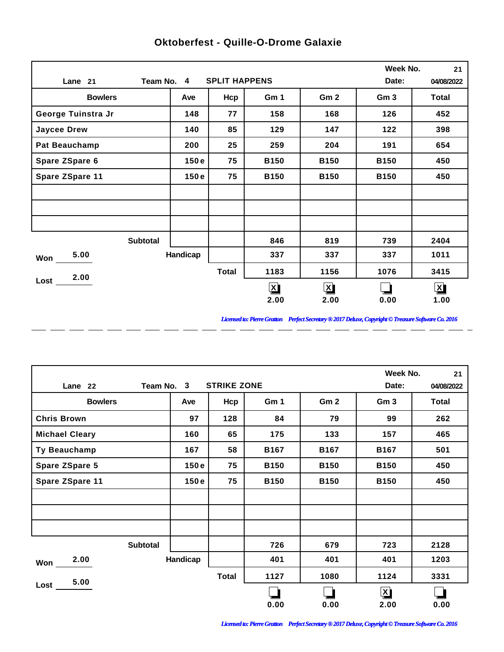|                      |                 |                      |                         |                 | Week No.        | 21                      |
|----------------------|-----------------|----------------------|-------------------------|-----------------|-----------------|-------------------------|
| Lane 21              | Team No. 4      | <b>SPLIT HAPPENS</b> |                         |                 | Date:           | 04/08/2022              |
| <b>Bowlers</b>       | Ave             | Hcp                  | Gm 1                    | Gm <sub>2</sub> | Gm <sub>3</sub> | <b>Total</b>            |
| George Tuinstra Jr   | 148             | 77                   | 158                     | 168             | 126             | 452                     |
| <b>Jaycee Drew</b>   | 140             | 85                   | 129                     | 147             | 122             | 398                     |
| <b>Pat Beauchamp</b> | 200             | 25                   | 259                     | 204             | 191             | 654                     |
| Spare ZSpare 6       | 150e            | 75                   | <b>B150</b>             | <b>B150</b>     | <b>B150</b>     | 450                     |
| Spare ZSpare 11      | 150e            | 75                   | <b>B150</b>             | <b>B150</b>     | <b>B150</b>     | 450                     |
|                      |                 |                      |                         |                 |                 |                         |
|                      |                 |                      |                         |                 |                 |                         |
|                      |                 |                      |                         |                 |                 |                         |
|                      | <b>Subtotal</b> |                      | 846                     | 819             | 739             | 2404                    |
| 5.00<br>Won          | Handicap        |                      | 337                     | 337             | 337             | 1011                    |
| 2.00                 |                 | <b>Total</b>         | 1183                    | 1156            | 1076            | 3415                    |
| Lost                 |                 |                      | $\overline{\mathbf{X}}$ | $\mathbf{X}$    |                 | $\overline{\mathbf{X}}$ |
|                      |                 |                      | 2.00                    | 2.00            | 0.00            | 1.00                    |

 $-$ 

 $\overline{a}$ 

 $\overline{a}$ 

 $\overline{a}$ 

 $\overline{a}$ 

 $\overline{a}$ 

 $\overline{a}$ 

 $\overline{a}$ 

## **Oktoberfest - Quille-O-Drome Galaxie**

*Licensed to: Pierre Gratton Perfect Secretary ® 2017 Deluxe, Copyright © Treasure Software Co. 2016*

<u> 2002 - 2003 - 2003 - 2003 - 2003 - 2003 - 2003 - 2003 - 2003 - 2003 - 2003 - 2003 - 2003 - 2003 - 2003 - 200</u>

|                       |                                  |              |             | Week No.        | 21              |       |  |
|-----------------------|----------------------------------|--------------|-------------|-----------------|-----------------|-------|--|
| Lane 22               | <b>STRIKE ZONE</b><br>Team No. 3 |              |             |                 |                 |       |  |
| <b>Bowlers</b>        | Ave                              | Hcp          | Gm 1        | Gm <sub>2</sub> | Gm <sub>3</sub> | Total |  |
| <b>Chris Brown</b>    | 97                               | 128          | 84          | 79              | 99              | 262   |  |
| <b>Michael Cleary</b> | 160                              | 65           | 175         | 133             | 157             | 465   |  |
| Ty Beauchamp          | 167                              | 58           | <b>B167</b> | <b>B167</b>     | <b>B167</b>     | 501   |  |
| <b>Spare ZSpare 5</b> | 150e                             | 75           | <b>B150</b> | <b>B150</b>     | <b>B150</b>     | 450   |  |
| Spare ZSpare 11       | 150e                             | 75           | <b>B150</b> | <b>B150</b>     | <b>B150</b>     | 450   |  |
|                       |                                  |              |             |                 |                 |       |  |
|                       |                                  |              |             |                 |                 |       |  |
|                       |                                  |              |             |                 |                 |       |  |
| <b>Subtotal</b>       |                                  |              | 726         | 679             | 723             | 2128  |  |
| 2.00<br>Won           | Handicap                         |              | 401         | 401             | 401             | 1203  |  |
| 5.00                  |                                  | <b>Total</b> | 1127        | 1080            | 1124            | 3331  |  |
| Lost                  |                                  |              |             |                 | $\mathbf{X}$    |       |  |
|                       |                                  |              | 0.00        | 0.00            | 2.00            | 0.00  |  |